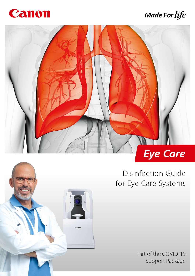

# **Made For life**



Canor

# Disinfection Guide for Eye Care Systems

Part of the COVID-19 Support Package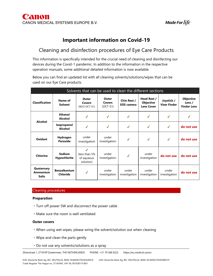# Important information on Covid-19

## Cleaning and disinfection procedures of Eye Care Products

This information is specifically intended for the crucial need of cleaning and disinfecting our devices during the Covid-1 pandemic. In addition to the information in the respective operation manuals, some additional detailed information is now available.

Below you can find an updated list with all cleaning solvents/solutions/wipes that can be used on our Eye Care products.

|                                               | Solvents that can be used to clean the different sections |                                                |                                      |                                         |                                                      |                                  |                                                  |
|-----------------------------------------------|-----------------------------------------------------------|------------------------------------------------|--------------------------------------|-----------------------------------------|------------------------------------------------------|----------------------------------|--------------------------------------------------|
| <b>Classification</b>                         | Name of<br><b>Solvent</b>                                 | Outer<br>Covers<br>(W/O OCT-S1)                | Outer<br><b>Covers</b><br>$(OCT-S1)$ | <b>Chin Rest /</b><br><b>EOS</b> camera | Head Rest /<br><b>Objective</b><br><b>Lens Cover</b> | Joystick /<br><b>View Finder</b> | <b>Objective</b><br>Lens /<br><b>Finder Lens</b> |
|                                               | Ethanol<br>Alcohol                                        | $\checkmark$                                   | $\checkmark$                         | $\checkmark$                            | $\checkmark$                                         | √                                | √                                                |
| Alcohol                                       | Isopropanol<br>Alcohol                                    | J                                              | $\checkmark$                         | $\checkmark$                            | ✔                                                    | $\checkmark$                     | do not use                                       |
| <b>Oxidant</b>                                | Hydrogen<br>Peroxide                                      | under<br>investigation                         | under<br>investigation               | $\checkmark$                            | $\checkmark$                                         | $\checkmark$                     | do not use                                       |
| <b>Chlorine</b>                               | <b>Sodium</b><br><b>Hypochlorite</b>                      | J<br>(less than 5%)<br>of aqueous<br>solution) | under<br>investigation               | $\checkmark$                            | under<br>investigation                               | do not use                       | do not use                                       |
| Quaternary<br><b>Ammonium</b><br><b>Salts</b> | <b>Benzalkonium</b><br>Chloride                           | $\checkmark$                                   | under<br>investigation               | under<br>investigation                  | under<br>investigation                               | under<br>investigation           | do not use                                       |

#### Cleaning procedures

### Preparation

- ・Turn off power SW and disconnect the power cable
- ・Make sure the room is well ventilated

#### Outer covers

- ・When using wet wipes, please wring the solvent/solution out when cleaning
- ・Wipe and clean the parts gently
- ・Do not use any solvents/solutions as a spray

Zilverstraat 1, 2718 RP Zoetermeer, THE NETHERLANDS PHONE: +31 79 368 9222 https://eu.medical.canon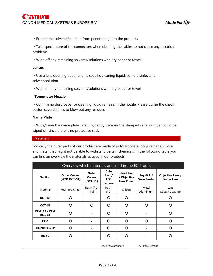・Protect the solvents/solution from penetrating into the products

・Take special care of the connectors when cleaning the cables to not cause any electrical problems

・Wipe off any remaining solvents/solutions with dry paper or towel

#### Lenses

・Use a lens cleaning paper and its specific cleaning liquid, so no disinfectant solvent/solution

・Wipe off any remaining solvents/solutions with dry paper or towel

#### Tonometer Nozzle

・Confirm no dust, paper or cleaning liquid remains in the nozzle. Please utilize the check button several times to blow out any residues.

#### Name Plate

・Wipe/clean the name plate carefully/gently because the stamped serial number could be wiped off since there is no protective seal.

#### **Materials**

Logically the outer parts of our product are made of polycarbonate, polyurethane, silicon and metal that might not be able to withstand certain chemicals. In the following table you can find an overview the materials as used in our products.

|                                         | Overview which materials are used in the EC Products |                                      |                                               |                                                      |                                  |                                               |
|-----------------------------------------|------------------------------------------------------|--------------------------------------|-----------------------------------------------|------------------------------------------------------|----------------------------------|-----------------------------------------------|
| <b>Section</b>                          | <b>Outer Covers</b><br>(W/O OCT-S1)                  | Outer<br><b>Covers</b><br>$(OCT-S1)$ | <b>Chin</b><br>Rest /<br><b>EOS</b><br>camera | <b>Head Rest</b><br>/ Objective<br><b>Lens Cover</b> | Joystick /<br><b>View Finder</b> | <b>Objective Lens /</b><br><b>Finder Lens</b> |
| Material                                | Resin (PC+ABS)                                       | Resin (PU)<br>+ Paint                | Resin<br>(PC)                                 | Silicon                                              | Metal<br>(Aluminium)             | Lens<br>(Glass+Coating)                       |
| OCT-A1                                  | O                                                    |                                      | ∩                                             | O                                                    |                                  |                                               |
| OCT-S1                                  | ∩                                                    | ∩                                    | ∩                                             | O                                                    | ∩                                |                                               |
| <b>CR-2 AF / CR-2</b><br><b>Plus AF</b> | ∩                                                    |                                      | O                                             | O                                                    |                                  |                                               |
| $CX-1$                                  | O                                                    |                                      | ∩                                             | O                                                    | O                                | ∩                                             |
| <b>TX-20/TX-20P</b>                     | O                                                    |                                      | O                                             | O                                                    |                                  |                                               |
| <b>RK-F2</b>                            |                                                      |                                      |                                               | O                                                    |                                  |                                               |

PC : Polycarbonate PU : Polyurethane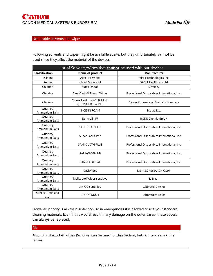## Not usable solvents and wipes

Following solvents and wipes might be available at site, but they unfortunately cannot be used since they affect the material of the devices.

| List of Solvents/Wipes that <b>cannot</b> be used with our devices |                                                      |                                              |  |  |
|--------------------------------------------------------------------|------------------------------------------------------|----------------------------------------------|--|--|
| <b>Classification</b>                                              | <b>Name of product</b>                               | <b>Manufacturer</b>                          |  |  |
| Oxidant                                                            | <b>Accel TB Wipes</b>                                | Virox Technologies Inc                       |  |  |
| Oxidant                                                            | Clinell Sporicidal                                   | <b>GAMA Healthcare Ltd</b>                   |  |  |
| Chlorine                                                           | Suma D4 tab                                          | Diversey                                     |  |  |
| Chlorine                                                           | Sani-Cloth <sup>®</sup> Bleach Wipes                 | Professional Disposables International, Inc. |  |  |
| Chlorine                                                           | Clorox Healthcare™ BLEACH<br><b>GERMICIDAL WIPES</b> | Clorox Professional Products Company         |  |  |
| Quartery<br>Ammonium Salts                                         | <b>INCIDIN FOAM</b>                                  | Ecolab Ltd.                                  |  |  |
| Quartery<br>Ammonium Salts                                         | Kohrsolin FF                                         | <b>BODE Chemie GmbH</b>                      |  |  |
| Quartery<br><b>Ammonium Salts</b>                                  | <b>SANI-CLOTH AF3</b>                                | Professional Disposables International, Inc. |  |  |
| Quartery<br>Ammonium Salts                                         | Super Sani-Cloth                                     | Professional Disposables International, Inc. |  |  |
| Quartery<br><b>Ammonium Salts</b>                                  | <b>SANI-CLOTH PLUS</b>                               | Professional Disposables International, Inc. |  |  |
| Quartery<br>Ammonium Salts                                         | SANI-CLOTH HB                                        | Professional Disposables International, Inc. |  |  |
| Quartery<br><b>Ammonium Salts</b>                                  | SANI-CLOTH AF                                        | Professional Disposables International, Inc. |  |  |
| Quartery<br>Ammonium Salts                                         | CaviWipes                                            | <b>METREX RESEARCH CORP</b>                  |  |  |
| Quartery<br>Ammonium Salts                                         | Meliseptol Wipes sensitive                           | B. Braun                                     |  |  |
| Quartery<br><b>Ammonium Salts</b>                                  | <b>ANIOS Surfanios</b>                               | Laboratoire Anios                            |  |  |
| Others (Amin and<br>etc.)                                          | <b>ANIOS DDSH</b>                                    | Laboratoire Anios                            |  |  |

However, priority is always disinfection, so in emergencies it is allowed to use your standard cleaning materials. Even if this would result in any damage on the outer cases- these covers can always be replaced,

## NB

Alcohol mikrozid AF wipes (Schülke) can be used for disinfection, but not for cleaning the lenses.